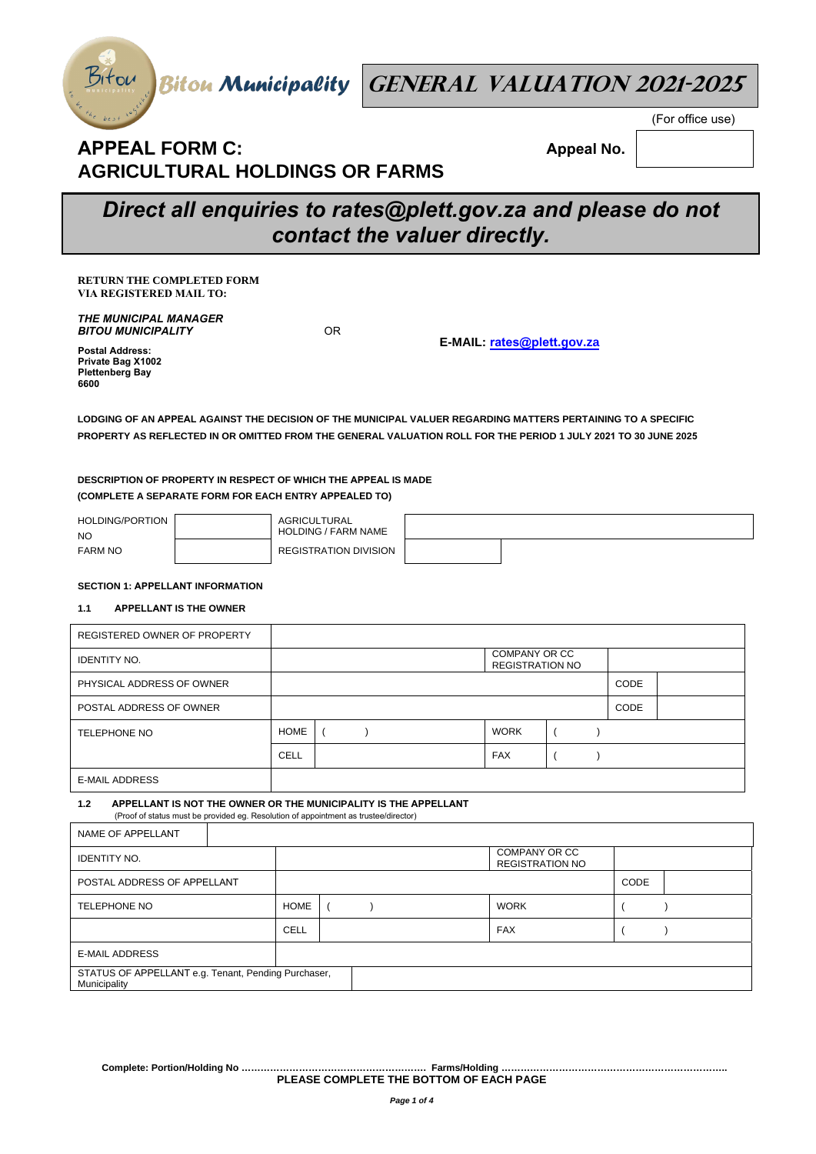

Bitou Biton Municipality **GENERAL VALUATION 2021-2025** 

## **APPEAL FORM C: AGRICULTURAL HOLDINGS OR FARMS**

 **Appeal No.** 

(For office use)

# *Direct all enquiries to rates@plett.gov.za and please do not contact the valuer directly.*

**RETURN THE COMPLETED FORM VIA REGISTERED MAIL TO:** 

*THE MUNICIPAL MANAGER BITOU MUNICIPALITY*

OR

**E-MAIL: rates@plett.gov.za**

**Postal Address: Private Bag X1002 Plettenberg Bay 6600** 

**LODGING OF AN APPEAL AGAINST THE DECISION OF THE MUNICIPAL VALUER REGARDING MATTERS PERTAINING TO A SPECIFIC PROPERTY AS REFLECTED IN OR OMITTED FROM THE GENERAL VALUATION ROLL FOR THE PERIOD 1 JULY 2021 TO 30 JUNE 2025**

## **DESCRIPTION OF PROPERTY IN RESPECT OF WHICH THE APPEAL IS MADE (COMPLETE A SEPARATE FORM FOR EACH ENTRY APPEALED TO)**

| HOLDING/PORTION<br><b>NO</b> | AGRICULTURAL<br><b>HOLDING / FARM NAME</b> |  |
|------------------------------|--------------------------------------------|--|
| <b>FARM NO</b>               | <b>REGISTRATION DIVISION</b>               |  |

## **SECTION 1: APPELLANT INFORMATION**

## **1.1 APPELLANT IS THE OWNER**

| REGISTERED OWNER OF PROPERTY |      |  |                                         |      |  |
|------------------------------|------|--|-----------------------------------------|------|--|
| <b>IDENTITY NO.</b>          |      |  | COMPANY OR CC<br><b>REGISTRATION NO</b> |      |  |
| PHYSICAL ADDRESS OF OWNER    |      |  |                                         | CODE |  |
| POSTAL ADDRESS OF OWNER      |      |  |                                         | CODE |  |
| <b>TELEPHONE NO</b>          | HOME |  | <b>WORK</b>                             |      |  |
|                              | CELL |  | <b>FAX</b>                              |      |  |
| <b>E-MAIL ADDRESS</b>        |      |  |                                         |      |  |

**1.2 APPELLANT IS NOT THE OWNER OR THE MUNICIPALITY IS THE APPELLANT** (Proof of status must be provided eg. Resolution of appointment as trustee/director)

| NAME OF APPELLANT                                                   |             |                                         |             |  |  |
|---------------------------------------------------------------------|-------------|-----------------------------------------|-------------|--|--|
| <b>IDENTITY NO.</b>                                                 |             | COMPANY OR CC<br><b>REGISTRATION NO</b> |             |  |  |
| POSTAL ADDRESS OF APPELLANT                                         |             |                                         | <b>CODE</b> |  |  |
| <b>TELEPHONE NO</b>                                                 | <b>HOME</b> |                                         | <b>WORK</b> |  |  |
|                                                                     | CELL        |                                         | <b>FAX</b>  |  |  |
| <b>E-MAIL ADDRESS</b>                                               |             |                                         |             |  |  |
| STATUS OF APPELLANT e.g. Tenant, Pending Purchaser,<br>Municipality |             |                                         |             |  |  |

**Complete: Portion/Holding No …………………………………………………. Farms/Holding …………………………………………………………….. PLEASE COMPLETE THE BOTTOM OF EACH PAGE**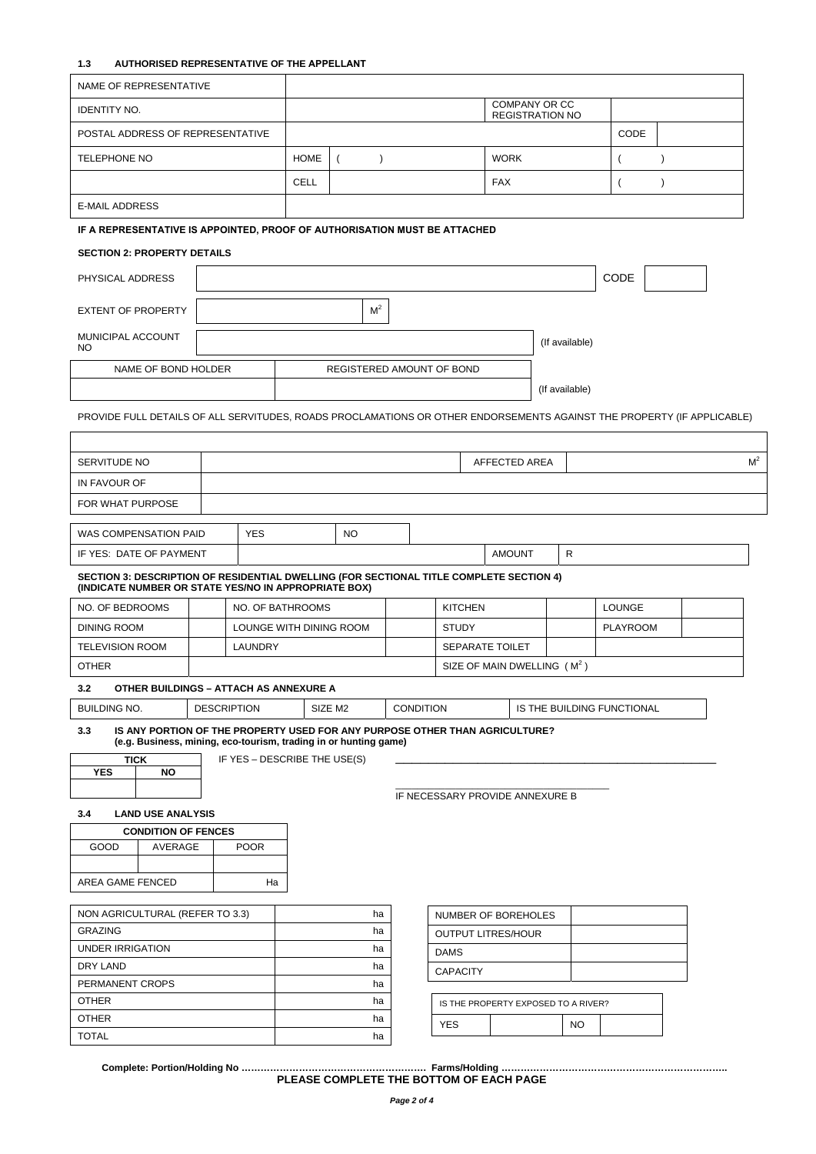## **1.3 AUTHORISED REPRESENTATIVE OF THE APPELLANT**

| <b>NAME OF REPRESENTATIVE</b>                                                                                                                   |                    |                              |                           |                           |  |                  |                 |                                         |                |                |                            |           |                |
|-------------------------------------------------------------------------------------------------------------------------------------------------|--------------------|------------------------------|---------------------------|---------------------------|--|------------------|-----------------|-----------------------------------------|----------------|----------------|----------------------------|-----------|----------------|
| <b>IDENTITY NO.</b>                                                                                                                             |                    |                              |                           |                           |  |                  |                 | COMPANY OR CC<br><b>REGISTRATION NO</b> |                |                |                            |           |                |
| POSTAL ADDRESS OF REPRESENTATIVE                                                                                                                |                    |                              |                           |                           |  |                  |                 |                                         |                |                | CODE                       |           |                |
| <b>TELEPHONE NO</b>                                                                                                                             |                    |                              | <b>HOME</b>               | $\left($<br>$\lambda$     |  |                  |                 | <b>WORK</b>                             |                |                | (                          | $\lambda$ |                |
|                                                                                                                                                 |                    |                              |                           |                           |  |                  |                 |                                         |                |                |                            |           |                |
|                                                                                                                                                 |                    |                              | <b>CELL</b><br><b>FAX</b> |                           |  |                  | $\lambda$       |                                         |                |                |                            |           |                |
| <b>E-MAIL ADDRESS</b>                                                                                                                           |                    |                              |                           |                           |  |                  |                 |                                         |                |                |                            |           |                |
| IF A REPRESENTATIVE IS APPOINTED, PROOF OF AUTHORISATION MUST BE ATTACHED                                                                       |                    |                              |                           |                           |  |                  |                 |                                         |                |                |                            |           |                |
| <b>SECTION 2: PROPERTY DETAILS</b>                                                                                                              |                    |                              |                           |                           |  |                  |                 |                                         |                |                |                            |           |                |
| PHYSICAL ADDRESS                                                                                                                                |                    |                              |                           |                           |  |                  |                 |                                         |                |                | CODE                       |           |                |
|                                                                                                                                                 |                    |                              |                           |                           |  |                  |                 |                                         |                |                |                            |           |                |
| <b>EXTENT OF PROPERTY</b>                                                                                                                       |                    |                              |                           | M <sup>2</sup>            |  |                  |                 |                                         |                |                |                            |           |                |
| MUNICIPAL ACCOUNT<br>NO                                                                                                                         |                    |                              |                           |                           |  |                  |                 |                                         |                | (If available) |                            |           |                |
| NAME OF BOND HOLDER                                                                                                                             |                    |                              |                           | REGISTERED AMOUNT OF BOND |  |                  |                 |                                         |                |                |                            |           |                |
|                                                                                                                                                 |                    |                              |                           |                           |  |                  |                 |                                         | (If available) |                |                            |           |                |
|                                                                                                                                                 |                    |                              |                           |                           |  |                  |                 |                                         |                |                |                            |           |                |
| PROVIDE FULL DETAILS OF ALL SERVITUDES, ROADS PROCLAMATIONS OR OTHER ENDORSEMENTS AGAINST THE PROPERTY (IF APPLICABLE)                          |                    |                              |                           |                           |  |                  |                 |                                         |                |                |                            |           |                |
|                                                                                                                                                 |                    |                              |                           |                           |  |                  |                 |                                         |                |                |                            |           |                |
| SERVITUDE NO                                                                                                                                    |                    |                              |                           |                           |  |                  |                 | AFFECTED AREA                           |                |                |                            |           | M <sup>2</sup> |
| IN FAVOUR OF                                                                                                                                    |                    |                              |                           |                           |  |                  |                 |                                         |                |                |                            |           |                |
| FOR WHAT PURPOSE                                                                                                                                |                    |                              |                           |                           |  |                  |                 |                                         |                |                |                            |           |                |
|                                                                                                                                                 |                    |                              |                           |                           |  |                  |                 |                                         |                |                |                            |           |                |
| WAS COMPENSATION PAID                                                                                                                           |                    | <b>YES</b>                   |                           | NO.                       |  |                  |                 |                                         |                | R              |                            |           |                |
| IF YES: DATE OF PAYMENT                                                                                                                         |                    |                              |                           |                           |  |                  |                 | <b>AMOUNT</b>                           |                |                |                            |           |                |
| SECTION 3: DESCRIPTION OF RESIDENTIAL DWELLING (FOR SECTIONAL TITLE COMPLETE SECTION 4)<br>(INDICATE NUMBER OR STATE YES/NO IN APPROPRIATE BOX) |                    |                              |                           |                           |  |                  |                 |                                         |                |                |                            |           |                |
| NO. OF BEDROOMS                                                                                                                                 |                    | NO. OF BATHROOMS             |                           |                           |  |                  | <b>KITCHEN</b>  |                                         |                |                | <b>LOUNGE</b>              |           |                |
| <b>DINING ROOM</b>                                                                                                                              |                    | LOUNGE WITH DINING ROOM      |                           |                           |  |                  | <b>STUDY</b>    |                                         |                |                | <b>PLAYROOM</b>            |           |                |
| <b>TELEVISION ROOM</b>                                                                                                                          |                    | <b>LAUNDRY</b>               |                           |                           |  |                  |                 | SEPARATE TOILET                         |                |                |                            |           |                |
| <b>OTHER</b>                                                                                                                                    |                    |                              |                           |                           |  |                  |                 | SIZE OF MAIN DWELLING (M <sup>2</sup> ) |                |                |                            |           |                |
| 3.2<br>OTHER BUILDINGS - ATTACH AS ANNEXURE A                                                                                                   |                    |                              |                           |                           |  |                  |                 |                                         |                |                |                            |           |                |
| <b>BUILDING NO.</b>                                                                                                                             | <b>DESCRIPTION</b> |                              |                           | SIZE M2                   |  | <b>CONDITION</b> |                 |                                         |                |                | IS THE BUILDING FUNCTIONAL |           |                |
| IS ANY PORTION OF THE PROPERTY USED FOR ANY PURPOSE OTHER THAN AGRICULTURE?<br>3.3                                                              |                    |                              |                           |                           |  |                  |                 |                                         |                |                |                            |           |                |
| (e.g. Business, mining, eco-tourism, trading in or hunting game)<br><b>TICK</b>                                                                 |                    | IF YES - DESCRIBE THE USE(S) |                           |                           |  |                  |                 |                                         |                |                |                            |           |                |
| <b>YES</b><br><b>NO</b>                                                                                                                         |                    |                              |                           |                           |  |                  |                 |                                         |                |                |                            |           |                |
|                                                                                                                                                 |                    |                              |                           |                           |  |                  |                 | IF NECESSARY PROVIDE ANNEXURE B         |                |                |                            |           |                |
| <b>LAND USE ANALYSIS</b><br>3.4                                                                                                                 |                    |                              |                           |                           |  |                  |                 |                                         |                |                |                            |           |                |
| <b>CONDITION OF FENCES</b>                                                                                                                      |                    |                              |                           |                           |  |                  |                 |                                         |                |                |                            |           |                |
| GOOD<br>AVERAGE                                                                                                                                 |                    | <b>POOR</b>                  |                           |                           |  |                  |                 |                                         |                |                |                            |           |                |
|                                                                                                                                                 |                    |                              |                           |                           |  |                  |                 |                                         |                |                |                            |           |                |
| AREA GAME FENCED                                                                                                                                |                    | Ha                           |                           |                           |  |                  |                 |                                         |                |                |                            |           |                |
| NON AGRICULTURAL (REFER TO 3.3)                                                                                                                 |                    |                              |                           | ha                        |  |                  |                 | NUMBER OF BOREHOLES                     |                |                |                            |           |                |
| <b>GRAZING</b>                                                                                                                                  |                    |                              |                           | ha                        |  |                  |                 | <b>OUTPUT LITRES/HOUR</b>               |                |                |                            |           |                |
| <b>UNDER IRRIGATION</b>                                                                                                                         |                    |                              |                           | ha                        |  |                  | <b>DAMS</b>     |                                         |                |                |                            |           |                |
| DRY LAND                                                                                                                                        |                    |                              |                           | ha                        |  |                  | <b>CAPACITY</b> |                                         |                |                |                            |           |                |
| PERMANENT CROPS                                                                                                                                 |                    |                              |                           | ha                        |  |                  |                 |                                         |                |                |                            |           |                |
| <b>OTHER</b><br><b>OTHER</b>                                                                                                                    |                    |                              |                           | ha<br>ha                  |  |                  |                 | IS THE PROPERTY EXPOSED TO A RIVER?     |                |                |                            |           |                |
| <b>TOTAL</b>                                                                                                                                    |                    |                              |                           | ha                        |  |                  | <b>YES</b>      |                                         |                | <b>NO</b>      |                            |           |                |
|                                                                                                                                                 |                    |                              |                           |                           |  |                  |                 |                                         |                |                |                            |           |                |

**Complete: Portion/Holding No …………………………………………………. Farms/Holding …………………………………………………………….. PLEASE COMPLETE THE BOTTOM OF EACH PAGE**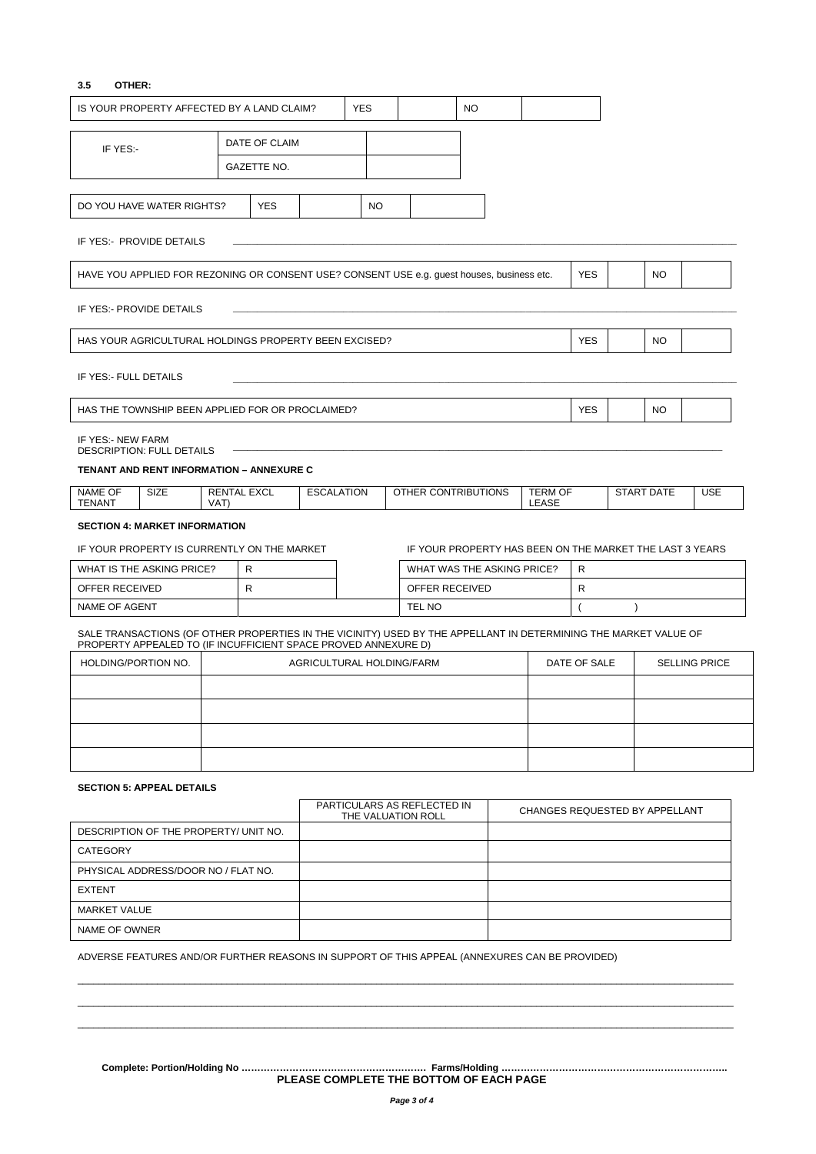## **3.5 OTHER:**

| IS YOUR PROPERTY AFFECTED BY A LAND CLAIM?                                                 |                                                                                                                                                                                    |  |                           | <b>YES</b> |  |                            | <b>NO</b> |  |                                                          |                                      |  |                   |            |
|--------------------------------------------------------------------------------------------|------------------------------------------------------------------------------------------------------------------------------------------------------------------------------------|--|---------------------------|------------|--|----------------------------|-----------|--|----------------------------------------------------------|--------------------------------------|--|-------------------|------------|
|                                                                                            | DATE OF CLAIM                                                                                                                                                                      |  |                           |            |  |                            |           |  |                                                          |                                      |  |                   |            |
| IF YES:-                                                                                   | GAZETTE NO.                                                                                                                                                                        |  |                           |            |  |                            |           |  |                                                          |                                      |  |                   |            |
|                                                                                            |                                                                                                                                                                                    |  |                           |            |  |                            |           |  |                                                          |                                      |  |                   |            |
| DO YOU HAVE WATER RIGHTS?                                                                  | <b>YES</b>                                                                                                                                                                         |  |                           | NO.        |  |                            |           |  |                                                          |                                      |  |                   |            |
| IF YES:- PROVIDE DETAILS                                                                   |                                                                                                                                                                                    |  |                           |            |  |                            |           |  |                                                          |                                      |  |                   |            |
| HAVE YOU APPLIED FOR REZONING OR CONSENT USE? CONSENT USE e.g. guest houses, business etc. |                                                                                                                                                                                    |  |                           |            |  |                            |           |  |                                                          | <b>YES</b>                           |  | <b>NO</b>         |            |
| IF YES:- PROVIDE DETAILS                                                                   |                                                                                                                                                                                    |  |                           |            |  |                            |           |  |                                                          |                                      |  |                   |            |
| HAS YOUR AGRICULTURAL HOLDINGS PROPERTY BEEN EXCISED?                                      |                                                                                                                                                                                    |  |                           |            |  |                            |           |  |                                                          | <b>YES</b>                           |  | <b>NO</b>         |            |
| IF YES:- FULL DETAILS                                                                      |                                                                                                                                                                                    |  |                           |            |  |                            |           |  |                                                          |                                      |  |                   |            |
| HAS THE TOWNSHIP BEEN APPLIED FOR OR PROCLAIMED?                                           |                                                                                                                                                                                    |  |                           |            |  |                            |           |  |                                                          | YES                                  |  | NO.               |            |
| IF YES:- NEW FARM<br><b>DESCRIPTION: FULL DETAILS</b>                                      |                                                                                                                                                                                    |  |                           |            |  |                            |           |  |                                                          |                                      |  |                   |            |
| <b>TENANT AND RENT INFORMATION - ANNEXURE C</b>                                            |                                                                                                                                                                                    |  |                           |            |  |                            |           |  |                                                          |                                      |  |                   |            |
| NAME OF<br><b>SIZE</b><br><b>TENANT</b>                                                    | <b>RENTAL EXCL</b><br>VAT)                                                                                                                                                         |  | <b>ESCALATION</b>         |            |  | OTHER CONTRIBUTIONS        |           |  | <b>TERM OF</b><br>LEASE                                  |                                      |  | <b>START DATE</b> | <b>USE</b> |
| <b>SECTION 4: MARKET INFORMATION</b>                                                       |                                                                                                                                                                                    |  |                           |            |  |                            |           |  |                                                          |                                      |  |                   |            |
| IF YOUR PROPERTY IS CURRENTLY ON THE MARKET                                                |                                                                                                                                                                                    |  |                           |            |  |                            |           |  | IF YOUR PROPERTY HAS BEEN ON THE MARKET THE LAST 3 YEARS |                                      |  |                   |            |
| WHAT IS THE ASKING PRICE?                                                                  | R                                                                                                                                                                                  |  |                           |            |  | WHAT WAS THE ASKING PRICE? |           |  |                                                          | R                                    |  |                   |            |
| OFFER RECEIVED                                                                             | R                                                                                                                                                                                  |  |                           |            |  | OFFER RECEIVED             |           |  |                                                          | R                                    |  |                   |            |
| NAME OF AGENT                                                                              |                                                                                                                                                                                    |  |                           |            |  | TEL NO                     |           |  |                                                          |                                      |  |                   |            |
|                                                                                            | SALE TRANSACTIONS (OF OTHER PROPERTIES IN THE VICINITY) USED BY THE APPELLANT IN DETERMINING THE MARKET VALUE OF<br>PROPERTY APPEALED TO (IF INCUFFICIENT SPACE PROVED ANNEXURE D) |  |                           |            |  |                            |           |  |                                                          |                                      |  |                   |            |
| HOLDING/PORTION NO.                                                                        |                                                                                                                                                                                    |  | AGRICULTURAL HOLDING/FARM |            |  |                            |           |  |                                                          | DATE OF SALE<br><b>SELLING PRICE</b> |  |                   |            |
|                                                                                            |                                                                                                                                                                                    |  |                           |            |  |                            |           |  |                                                          |                                      |  |                   |            |
|                                                                                            |                                                                                                                                                                                    |  |                           |            |  |                            |           |  |                                                          |                                      |  |                   |            |
|                                                                                            |                                                                                                                                                                                    |  |                           |            |  |                            |           |  |                                                          |                                      |  |                   |            |
|                                                                                            |                                                                                                                                                                                    |  |                           |            |  |                            |           |  |                                                          |                                      |  |                   |            |
| <b>SECTION 5: APPEAL DETAILS</b>                                                           |                                                                                                                                                                                    |  |                           |            |  |                            |           |  |                                                          |                                      |  |                   |            |
| PARTICULARS AS REFLECTED IN<br>CHANGES REQUESTED BY APPELLANT<br>THE VALUATION ROLL        |                                                                                                                                                                                    |  |                           |            |  |                            |           |  |                                                          |                                      |  |                   |            |
| DESCRIPTION OF THE PROPERTY/ UNIT NO.                                                      |                                                                                                                                                                                    |  |                           |            |  |                            |           |  |                                                          |                                      |  |                   |            |
| <b>CATEGORY</b>                                                                            |                                                                                                                                                                                    |  |                           |            |  |                            |           |  |                                                          |                                      |  |                   |            |
| PHYSICAL ADDRESS/DOOR NO / FLAT NO.                                                        |                                                                                                                                                                                    |  |                           |            |  |                            |           |  |                                                          |                                      |  |                   |            |
| <b>EXTENT</b>                                                                              |                                                                                                                                                                                    |  |                           |            |  |                            |           |  |                                                          |                                      |  |                   |            |
| <b>MARKET VALUE</b>                                                                        |                                                                                                                                                                                    |  |                           |            |  |                            |           |  |                                                          |                                      |  |                   |            |

NAME OF OWNER

ADVERSE FEATURES AND/OR FURTHER REASONS IN SUPPORT OF THIS APPEAL (ANNEXURES CAN BE PROVIDED)

**Complete: Portion/Holding No …………………………………………………. Farms/Holding …………………………………………………………….. PLEASE COMPLETE THE BOTTOM OF EACH PAGE** 

 $\bot$  , and the set of the set of the set of the set of the set of the set of the set of the set of the set of the set of the set of the set of the set of the set of the set of the set of the set of the set of the set of t  $\bot$  , and the set of the set of the set of the set of the set of the set of the set of the set of the set of the set of the set of the set of the set of the set of the set of the set of the set of the set of the set of t  $\bot$  , and the set of the set of the set of the set of the set of the set of the set of the set of the set of the set of the set of the set of the set of the set of the set of the set of the set of the set of the set of t